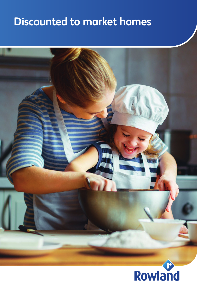# **Discounted to market homes**